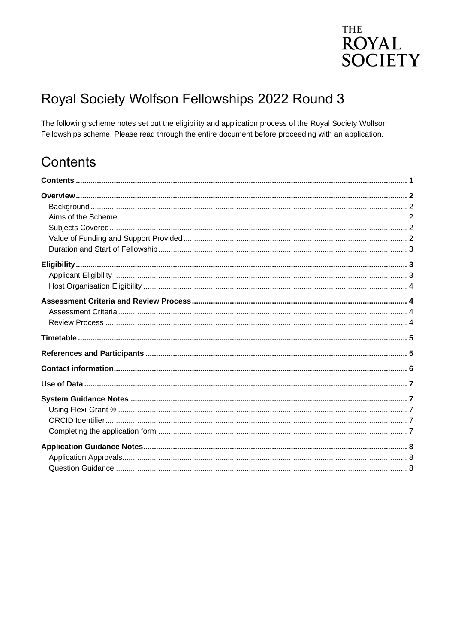# **THE ROYAL SOCIETY**

# Royal Society Wolfson Fellowships 2022 Round 3

The following scheme notes set out the eligibility and application process of the Royal Society Wolfson Fellowships scheme. Please read through the entire document before proceeding with an application.

# <span id="page-0-0"></span>Contents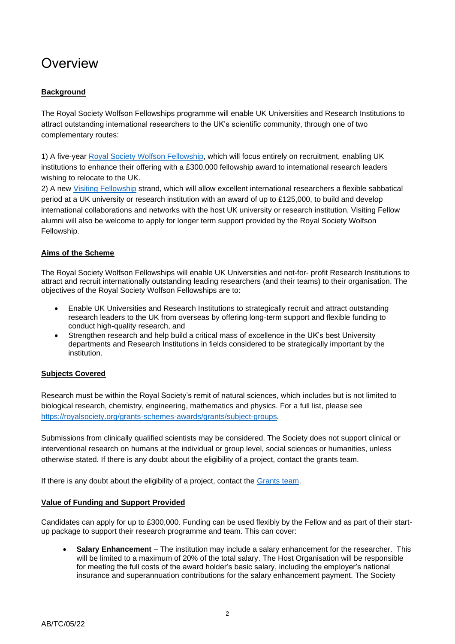# <span id="page-1-0"></span>**Overview**

## <span id="page-1-1"></span>**Background**

The Royal Society Wolfson Fellowships programme will enable UK Universities and Research Institutions to attract outstanding international researchers to the UK's scientific community, through one of two complementary routes:

1) A five-year [Royal Society Wolfson Fellowship,](https://royalsociety.org/grants-schemes-awards/grants/royal-society-wolfson-fellowship/) which will focus entirely on recruitment, enabling UK institutions to enhance their offering with a £300,000 fellowship award to international research leaders wishing to relocate to the UK.

2) A new [Visiting Fellowship](https://royalsociety.org/grants-schemes-awards/grants/royal-society-wolfson-visiting-fellowship/) strand, which will allow excellent international researchers a flexible sabbatical period at a UK university or research institution with an award of up to £125,000, to build and develop international collaborations and networks with the host UK university or research institution. Visiting Fellow alumni will also be welcome to apply for longer term support provided by the Royal Society Wolfson Fellowship.

## <span id="page-1-2"></span>**Aims of the Scheme**

The Royal Society Wolfson Fellowships will enable UK Universities and not-for- profit Research Institutions to attract and recruit internationally outstanding leading researchers (and their teams) to their organisation. The objectives of the Royal Society Wolfson Fellowships are to:

- Enable UK Universities and Research Institutions to strategically recruit and attract outstanding research leaders to the UK from overseas by offering long-term support and flexible funding to conduct high-quality research, and
- Strengthen research and help build a critical mass of excellence in the UK's best University departments and Research Institutions in fields considered to be strategically important by the institution.

## <span id="page-1-3"></span>**Subjects Covered**

Research must be within the Royal Society's remit of natural sciences, which includes but is not limited to biological research, chemistry, engineering, mathematics and physics. For a full list, please see [https://royalsociety.org/grants-schemes-awards/grants/subject-groups.](https://royalsociety.org/grants-schemes-awards/grants/subject-groups)

Submissions from clinically qualified scientists may be considered. The Society does not support clinical or interventional research on humans at the individual or group level, social sciences or humanities, unless otherwise stated. If there is any doubt about the eligibility of a project, contact the grants team.

If there is any doubt about the eligibility of a project, contact the [Grants team.](mailto:grants@royalsociety.org)

### <span id="page-1-4"></span>**Value of Funding and Support Provided**

Candidates can apply for up to £300,000. Funding can be used flexibly by the Fellow and as part of their startup package to support their research programme and team. This can cover:

• **Salary Enhancement** – The institution may include a salary enhancement for the researcher. This will be limited to a maximum of 20% of the total salary. The Host Organisation will be responsible for meeting the full costs of the award holder's basic salary, including the employer's national insurance and superannuation contributions for the salary enhancement payment. The Society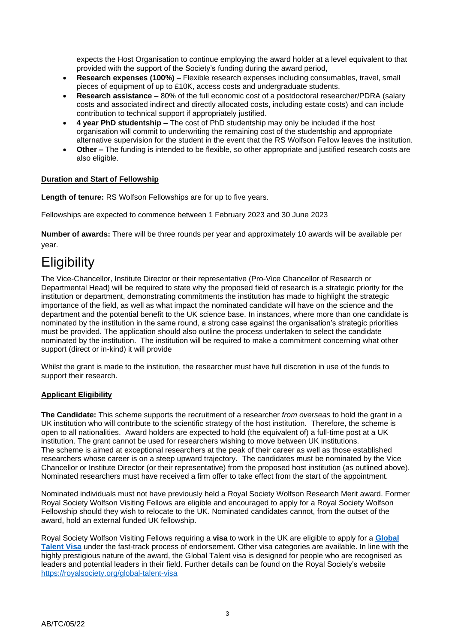expects the Host Organisation to continue employing the award holder at a level equivalent to that provided with the support of the Society's funding during the award period,

- **Research expenses (100%) –** Flexible research expenses including consumables, travel, small pieces of equipment of up to £10K, access costs and undergraduate students.
- **Research assistance –** 80% of the full economic cost of a postdoctoral researcher/PDRA (salary costs and associated indirect and directly allocated costs, including estate costs) and can include contribution to technical support if appropriately justified.
- **4 year PhD studentship –** The cost of PhD studentship may only be included if the host organisation will commit to underwriting the remaining cost of the studentship and appropriate alternative supervision for the student in the event that the RS Wolfson Fellow leaves the institution.
- **Other –** The funding is intended to be flexible, so other appropriate and justified research costs are also eligible.

## <span id="page-2-0"></span>**Duration and Start of Fellowship**

Length of tenure: RS Wolfson Fellowships are for up to five years.

Fellowships are expected to commence between 1 February 2023 and 30 June 2023

<span id="page-2-1"></span>**Number of awards:** There will be three rounds per year and approximately 10 awards will be available per year.

# **Eligibility**

The Vice-Chancellor, Institute Director or their representative (Pro-Vice Chancellor of Research or Departmental Head) will be required to state why the proposed field of research is a strategic priority for the institution or department, demonstrating commitments the institution has made to highlight the strategic importance of the field, as well as what impact the nominated candidate will have on the science and the department and the potential benefit to the UK science base. In instances, where more than one candidate is nominated by the institution in the same round, a strong case against the organisation's strategic priorities must be provided. The application should also outline the process undertaken to select the candidate nominated by the institution. The institution will be required to make a commitment concerning what other support (direct or in-kind) it will provide

Whilst the grant is made to the institution, the researcher must have full discretion in use of the funds to support their research.

### <span id="page-2-2"></span>**Applicant Eligibility**

**The Candidate:** This scheme supports the recruitment of a researcher *from overseas* to hold the grant in a UK institution who will contribute to the scientific strategy of the host institution. Therefore, the scheme is open to all nationalities. Award holders are expected to hold (the equivalent of) a full-time post at a UK institution. The grant cannot be used for researchers wishing to move between UK institutions. The scheme is aimed at exceptional researchers at the peak of their career as well as those established researchers whose career is on a steep upward trajectory. The candidates must be nominated by the Vice Chancellor or Institute Director (or their representative) from the proposed host institution (as outlined above). Nominated researchers must have received a firm offer to take effect from the start of the appointment.

Nominated individuals must not have previously held a Royal Society Wolfson Research Merit award. Former Royal Society Wolfson Visiting Fellows are eligible and encouraged to apply for a Royal Society Wolfson Fellowship should they wish to relocate to the UK. Nominated candidates cannot, from the outset of the award, hold an external funded UK fellowship.

Royal Society Wolfson Visiting Fellows requiring a **visa** to work in the UK are eligible to apply for a **[Global](https://www.gov.uk/global-talent)  [Talent Visa](https://www.gov.uk/global-talent)** under the fast-track process of endorsement. Other visa categories are available. In line with the highly prestigious nature of the award, the Global Talent visa is designed for people who are recognised as leaders and potential leaders in their field. Further details can be found on the Royal Society's website <https://royalsociety.org/global-talent-visa>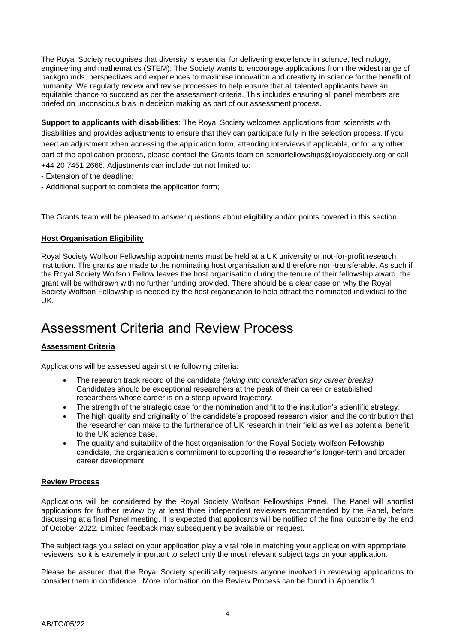The Royal Society recognises that diversity is essential for delivering excellence in science, technology, engineering and mathematics (STEM). The Society wants to encourage applications from the widest range of backgrounds, perspectives and experiences to maximise innovation and creativity in science for the benefit of humanity. We regularly review and revise processes to help ensure that all talented applicants have an equitable chance to succeed as per the assessment criteria. This includes ensuring all panel members are briefed on unconscious bias in decision making as part of our assessment process.

**Support to applicants with disabilities**: The Royal Society welcomes applications from scientists with disabilities and provides adjustments to ensure that they can participate fully in the selection process. If you need an adjustment when accessing the application form, attending interviews if applicable, or for any other part of the application process, please contact the Grants team on seniorfellowships@royalsociety.org or call +44 20 7451 2666. Adjustments can include but not limited to:

- Extension of the deadline;
- Additional support to complete the application form;

The Grants team will be pleased to answer questions about eligibility and/or points covered in this section.

### <span id="page-3-0"></span>**Host Organisation Eligibility**

Royal Society Wolfson Fellowship appointments must be held at a UK university or not-for-profit research institution. The grants are made to the nominating host organisation and therefore non-transferable. As such if the Royal Society Wolfson Fellow leaves the host organisation during the tenure of their fellowship award, the grant will be withdrawn with no further funding provided. There should be a clear case on why the Royal Society Wolfson Fellowship is needed by the host organisation to help attract the nominated individual to the UK.

# <span id="page-3-1"></span>Assessment Criteria and Review Process

## <span id="page-3-2"></span>**Assessment Criteria**

Applications will be assessed against the following criteria:

- The research track record of the candidate *(taking into consideration any career breaks).*  Candidates should be exceptional researchers at the peak of their career or established researchers whose career is on a steep upward trajectory.
- The strength of the strategic case for the nomination and fit to the institution's scientific strategy.
- The high quality and originality of the candidate's proposed research vision and the contribution that the researcher can make to the furtherance of UK research in their field as well as potential benefit to the UK science base.
- The quality and suitability of the host organisation for the Royal Society Wolfson Fellowship candidate, the organisation's commitment to supporting the researcher's longer-term and broader career development.

### <span id="page-3-3"></span>**Review Process**

Applications will be considered by the Royal Society Wolfson Fellowships Panel. The Panel will shortlist applications for further review by at least three independent reviewers recommended by the Panel, before discussing at a final Panel meeting. It is expected that applicants will be notified of the final outcome by the end of October 2022. Limited feedback may subsequently be available on request.

The subject tags you select on your application play a vital role in matching your application with appropriate reviewers, so it is extremely important to select only the most relevant subject tags on your application.

Please be assured that the Royal Society specifically requests anyone involved in reviewing applications to consider them in confidence. More information on the Review Process can be found in Appendix 1.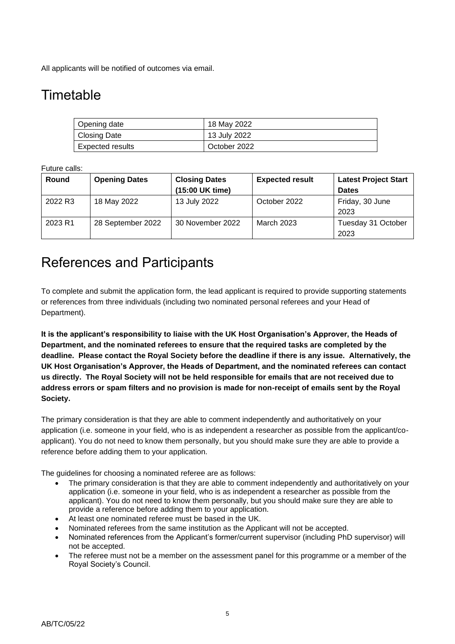All applicants will be notified of outcomes via email.

# <span id="page-4-0"></span>**Timetable**

| Opening date     | 18 May 2022  |
|------------------|--------------|
| Closing Date     | 13 July 2022 |
| Expected results | October 2022 |

Future calls:

| Round   | <b>Opening Dates</b> | <b>Closing Dates</b> | <b>Expected result</b> | <b>Latest Project Start</b> |
|---------|----------------------|----------------------|------------------------|-----------------------------|
|         |                      | (15:00 UK time)      |                        | <b>Dates</b>                |
| 2022 R3 | 18 May 2022          | 13 July 2022         | October 2022           | Friday, 30 June<br>2023     |
| 2023 R1 | 28 September 2022    | 30 November 2022     | March 2023             | Tuesday 31 October<br>2023  |

# <span id="page-4-1"></span>References and Participants

To complete and submit the application form, the lead applicant is required to provide supporting statements or references from three individuals (including two nominated personal referees and your Head of Department).

**It is the applicant's responsibility to liaise with the UK Host Organisation's Approver, the Heads of Department, and the nominated referees to ensure that the required tasks are completed by the deadline. Please contact the Royal Society before the deadline if there is any issue. Alternatively, the UK Host Organisation's Approver, the Heads of Department, and the nominated referees can contact us directly. The Royal Society will not be held responsible for emails that are not received due to address errors or spam filters and no provision is made for non-receipt of emails sent by the Royal Society.**

The primary consideration is that they are able to comment independently and authoritatively on your application (i.e. someone in your field, who is as independent a researcher as possible from the applicant/coapplicant). You do not need to know them personally, but you should make sure they are able to provide a reference before adding them to your application.

The guidelines for choosing a nominated referee are as follows:

- The primary consideration is that they are able to comment independently and authoritatively on your application (i.e. someone in your field, who is as independent a researcher as possible from the applicant). You do not need to know them personally, but you should make sure they are able to provide a reference before adding them to your application.
- At least one nominated referee must be based in the UK.
- Nominated referees from the same institution as the Applicant will not be accepted.
- Nominated references from the Applicant's former/current supervisor (including PhD supervisor) will not be accepted.
- The referee must not be a member on the assessment panel for this programme or a member of the Royal Society's Council.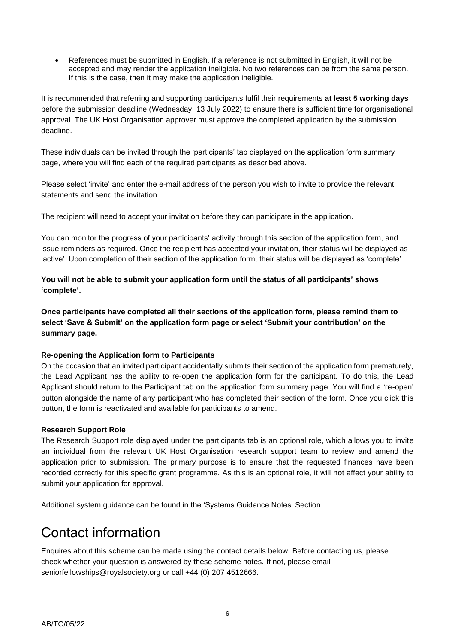• References must be submitted in English. If a reference is not submitted in English, it will not be accepted and may render the application ineligible. No two references can be from the same person. If this is the case, then it may make the application ineligible.

It is recommended that referring and supporting participants fulfil their requirements **at least 5 working days** before the submission deadline (Wednesday, 13 July 2022) to ensure there is sufficient time for organisational approval. The UK Host Organisation approver must approve the completed application by the submission deadline.

These individuals can be invited through the 'participants' tab displayed on the application form summary page, where you will find each of the required participants as described above.

Please select 'invite' and enter the e-mail address of the person you wish to invite to provide the relevant statements and send the invitation.

The recipient will need to accept your invitation before they can participate in the application.

You can monitor the progress of your participants' activity through this section of the application form, and issue reminders as required. Once the recipient has accepted your invitation, their status will be displayed as 'active'. Upon completion of their section of the application form, their status will be displayed as 'complete'.

**You will not be able to submit your application form until the status of all participants' shows 'complete'.** 

**Once participants have completed all their sections of the application form, please remind them to select 'Save & Submit' on the application form page or select 'Submit your contribution' on the summary page.**

## **Re-opening the Application form to Participants**

On the occasion that an invited participant accidentally submits their section of the application form prematurely, the Lead Applicant has the ability to re-open the application form for the participant. To do this, the Lead Applicant should return to the Participant tab on the application form summary page. You will find a 're-open' button alongside the name of any participant who has completed their section of the form. Once you click this button, the form is reactivated and available for participants to amend.

### **Research Support Role**

The Research Support role displayed under the participants tab is an optional role, which allows you to invite an individual from the relevant UK Host Organisation research support team to review and amend the application prior to submission. The primary purpose is to ensure that the requested finances have been recorded correctly for this specific grant programme. As this is an optional role, it will not affect your ability to submit your application for approval.

Additional system guidance can be found in the 'Systems Guidance Notes' Section.

# <span id="page-5-0"></span>Contact information

Enquires about this scheme can be made using the contact details below. Before contacting us, please check whether your question is answered by these scheme notes. If not, please email seniorfellowships@royalsociety.org or call +44 (0) 207 4512666.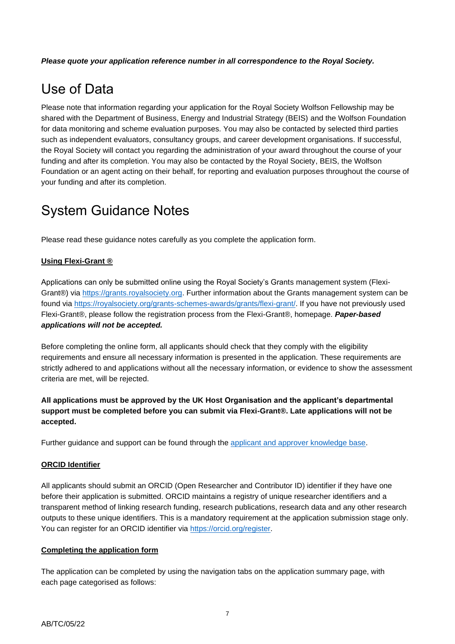*Please quote your application reference number in all correspondence to the Royal Society.*

# <span id="page-6-0"></span>Use of Data

Please note that information regarding your application for the Royal Society Wolfson Fellowship may be shared with the Department of Business, Energy and Industrial Strategy (BEIS) and the Wolfson Foundation for data monitoring and scheme evaluation purposes. You may also be contacted by selected third parties such as independent evaluators, consultancy groups, and career development organisations. If successful, the Royal Society will contact you regarding the administration of your award throughout the course of your funding and after its completion. You may also be contacted by the Royal Society, BEIS, the Wolfson Foundation or an agent acting on their behalf, for reporting and evaluation purposes throughout the course of your funding and after its completion.

# <span id="page-6-1"></span>System Guidance Notes

Please read these guidance notes carefully as you complete the application form.

## <span id="page-6-2"></span>**Using Flexi-Grant ®**

Applications can only be submitted online using the Royal Society's Grants management system (FlexiGrant®) via [https://grants.royalsociety.org.](https://grants.royalsociety.org/) Further information about the Grants management system can be found via [https://royalsociety.org/grants-schemes-awards/grants/flexi-grant/.](https://royalsociety.org/grants-schemes-awards/grants/flexi-grant/) If you have not previously used Flexi-Grant®, please follow the registration process from the Flexi-Grant®, homepage. *Paper-based applications will not be accepted.*

Before completing the online form, all applicants should check that they comply with the eligibility requirements and ensure all necessary information is presented in the application. These requirements are strictly adhered to and applications without all the necessary information, or evidence to show the assessment criteria are met, will be rejected.

## **All applications must be approved by the UK Host Organisation and the applicant's departmental support must be completed before you can submit via Flexi-Grant®. Late applications will not be accepted.**

Further guidance and support can be found through the [applicant and approver knowledge base.](http://royalsocietyapplicantsupport.fluenttechnology.com/support/home)

### <span id="page-6-3"></span>**ORCID Identifier**

All applicants should submit an ORCID (Open Researcher and Contributor ID) identifier if they have one before their application is submitted. ORCID maintains a registry of unique researcher identifiers and a transparent method of linking research funding, research publications, research data and any other research outputs to these unique identifiers. This is a mandatory requirement at the application submission stage only. You can register for an ORCID identifier via [https://orcid.org/register.](https://orcid.org/register)

### <span id="page-6-4"></span>**Completing the application form**

The application can be completed by using the navigation tabs on the application summary page, with each page categorised as follows: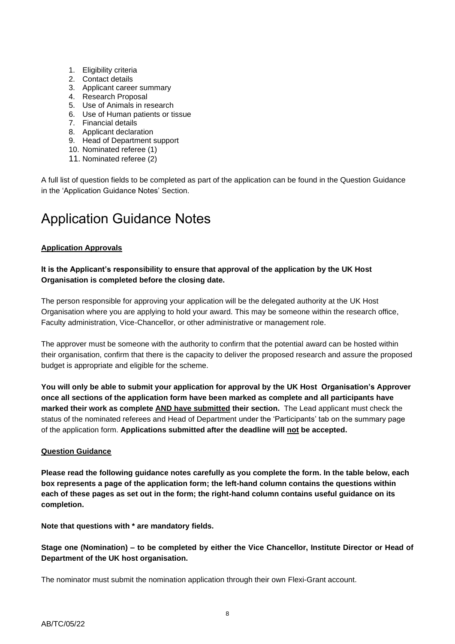- 1. Eligibility criteria
- 2. Contact details
- 3. Applicant career summary
- 4. Research Proposal
- 5. Use of Animals in research
- 6. Use of Human patients or tissue
- 7. Financial details
- 8. Applicant declaration
- 9. Head of Department support
- 10. Nominated referee (1)
- 11. Nominated referee (2)

A full list of question fields to be completed as part of the application can be found in the Question Guidance in the 'Application Guidance Notes' Section.

# <span id="page-7-0"></span>Application Guidance Notes

## <span id="page-7-1"></span>**Application Approvals**

## **It is the Applicant's responsibility to ensure that approval of the application by the UK Host Organisation is completed before the closing date.**

The person responsible for approving your application will be the delegated authority at the UK Host Organisation where you are applying to hold your award. This may be someone within the research office, Faculty administration, Vice-Chancellor, or other administrative or management role.

The approver must be someone with the authority to confirm that the potential award can be hosted within their organisation, confirm that there is the capacity to deliver the proposed research and assure the proposed budget is appropriate and eligible for the scheme.

**You will only be able to submit your application for approval by the UK Host Organisation's Approver once all sections of the application form have been marked as complete and all participants have marked their work as complete AND have submitted their section.** The Lead applicant must check the status of the nominated referees and Head of Department under the 'Participants' tab on the summary page of the application form. **Applications submitted after the deadline will not be accepted.**

### <span id="page-7-2"></span>**Question Guidance**

**Please read the following guidance notes carefully as you complete the form. In the table below, each box represents a page of the application form; the left-hand column contains the questions within each of these pages as set out in the form; the right-hand column contains useful guidance on its completion.**

**Note that questions with \* are mandatory fields.**

**Stage one (Nomination) – to be completed by either the Vice Chancellor, Institute Director or Head of Department of the UK host organisation.**

The nominator must submit the nomination application through their own Flexi-Grant account.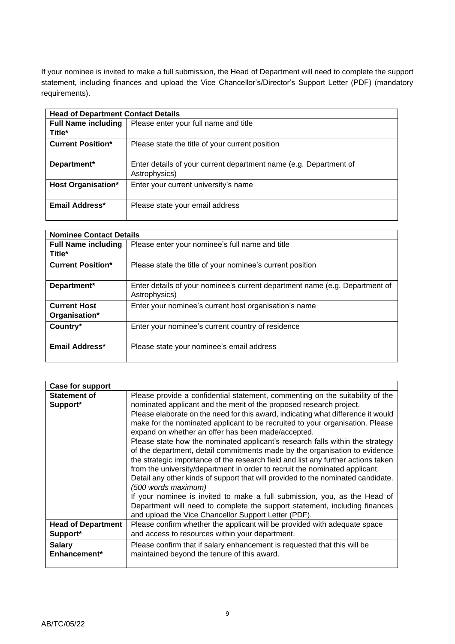If your nominee is invited to make a full submission, the Head of Department will need to complete the support statement, including finances and upload the Vice Chancellor's/Director's Support Letter (PDF) (mandatory requirements).

| <b>Head of Department Contact Details</b> |                                                                                    |  |
|-------------------------------------------|------------------------------------------------------------------------------------|--|
| <b>Full Name including</b><br>Title*      | Please enter your full name and title                                              |  |
| <b>Current Position*</b>                  | Please state the title of your current position                                    |  |
| Department*                               | Enter details of your current department name (e.g. Department of<br>Astrophysics) |  |
| <b>Host Organisation*</b>                 | Enter your current university's name                                               |  |
| Email Address*                            | Please state your email address                                                    |  |

| <b>Nominee Contact Details</b>       |                                                                                              |  |
|--------------------------------------|----------------------------------------------------------------------------------------------|--|
| <b>Full Name including</b><br>Title* | Please enter your nominee's full name and title                                              |  |
| <b>Current Position*</b>             | Please state the title of your nominee's current position                                    |  |
| Department*                          | Enter details of your nominee's current department name (e.g. Department of<br>Astrophysics) |  |
| <b>Current Host</b><br>Organisation* | Enter your nominee's current host organisation's name                                        |  |
| Country*                             | Enter your nominee's current country of residence                                            |  |
| Email Address*                       | Please state your nominee's email address                                                    |  |

| Case for support          |                                                                                   |
|---------------------------|-----------------------------------------------------------------------------------|
| <b>Statement of</b>       | Please provide a confidential statement, commenting on the suitability of the     |
| Support*                  | nominated applicant and the merit of the proposed research project.               |
|                           | Please elaborate on the need for this award, indicating what difference it would  |
|                           | make for the nominated applicant to be recruited to your organisation. Please     |
|                           | expand on whether an offer has been made/accepted.                                |
|                           | Please state how the nominated applicant's research falls within the strategy     |
|                           | of the department, detail commitments made by the organisation to evidence        |
|                           | the strategic importance of the research field and list any further actions taken |
|                           | from the university/department in order to recruit the nominated applicant.       |
|                           | Detail any other kinds of support that will provided to the nominated candidate.  |
|                           | (500 words maximum)                                                               |
|                           | If your nominee is invited to make a full submission, you, as the Head of         |
|                           | Department will need to complete the support statement, including finances        |
|                           | and upload the Vice Chancellor Support Letter (PDF).                              |
| <b>Head of Department</b> | Please confirm whether the applicant will be provided with adequate space         |
| Support*                  | and access to resources within your department.                                   |
| <b>Salary</b>             | Please confirm that if salary enhancement is requested that this will be          |
| Enhancement*              | maintained beyond the tenure of this award.                                       |
|                           |                                                                                   |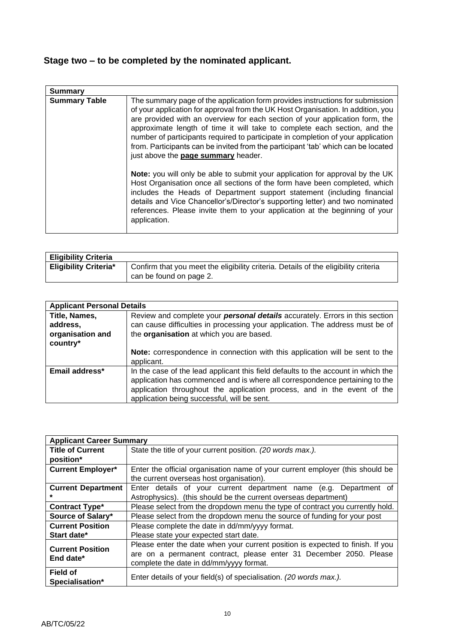## **Stage two – to be completed by the nominated applicant.**

| <b>Summary</b>       |                                                                                                                                                                                                                                                                                                                                                                                                                                                                                                                                                |
|----------------------|------------------------------------------------------------------------------------------------------------------------------------------------------------------------------------------------------------------------------------------------------------------------------------------------------------------------------------------------------------------------------------------------------------------------------------------------------------------------------------------------------------------------------------------------|
| <b>Summary Table</b> | The summary page of the application form provides instructions for submission<br>of your application for approval from the UK Host Organisation. In addition, you<br>are provided with an overview for each section of your application form, the<br>approximate length of time it will take to complete each section, and the<br>number of participants required to participate in completion of your application<br>from. Participants can be invited from the participant 'tab' which can be located<br>just above the page summary header. |
|                      | Note: you will only be able to submit your application for approval by the UK<br>Host Organisation once all sections of the form have been completed, which<br>includes the Heads of Department support statement (including financial<br>details and Vice Chancellor's/Director's supporting letter) and two nominated<br>references. Please invite them to your application at the beginning of your<br>application.                                                                                                                         |

| <b>Eligibility Criteria</b>  |                                                                                                                |
|------------------------------|----------------------------------------------------------------------------------------------------------------|
| <b>Eligibility Criteria*</b> | Confirm that you meet the eligibility criteria. Details of the eligibility criteria<br>can be found on page 2. |

| <b>Applicant Personal Details</b>                         |                                                                                                                                                                                                                                                                                            |  |
|-----------------------------------------------------------|--------------------------------------------------------------------------------------------------------------------------------------------------------------------------------------------------------------------------------------------------------------------------------------------|--|
| Title, Names,<br>address,<br>organisation and<br>country* | Review and complete your <b>personal details</b> accurately. Errors in this section<br>can cause difficulties in processing your application. The address must be of<br>the organisation at which you are based.                                                                           |  |
|                                                           | Note: correspondence in connection with this application will be sent to the<br>applicant.                                                                                                                                                                                                 |  |
| Email address*                                            | In the case of the lead applicant this field defaults to the account in which the<br>application has commenced and is where all correspondence pertaining to the<br>application throughout the application process, and in the event of the<br>application being successful, will be sent. |  |

| <b>Applicant Career Summary</b> |                                                                                |  |
|---------------------------------|--------------------------------------------------------------------------------|--|
| <b>Title of Current</b>         | State the title of your current position. (20 words max.).                     |  |
| position*                       |                                                                                |  |
| <b>Current Employer*</b>        | Enter the official organisation name of your current employer (this should be  |  |
|                                 | the current overseas host organisation).                                       |  |
| <b>Current Department</b>       | Enter details of your current department name (e.g. Department of              |  |
|                                 | Astrophysics). (this should be the current overseas department)                |  |
| <b>Contract Type*</b>           | Please select from the dropdown menu the type of contract you currently hold.  |  |
| Source of Salary*               | Please select from the dropdown menu the source of funding for your post       |  |
| <b>Current Position</b>         | Please complete the date in dd/mm/yyyy format.                                 |  |
| Start date*                     | Please state your expected start date.                                         |  |
| <b>Current Position</b>         | Please enter the date when your current position is expected to finish. If you |  |
| End date*                       | are on a permanent contract, please enter 31 December 2050. Please             |  |
|                                 | complete the date in dd/mm/yyyy format.                                        |  |
| <b>Field of</b>                 |                                                                                |  |
| Specialisation*                 | Enter details of your field(s) of specialisation. (20 words max.).             |  |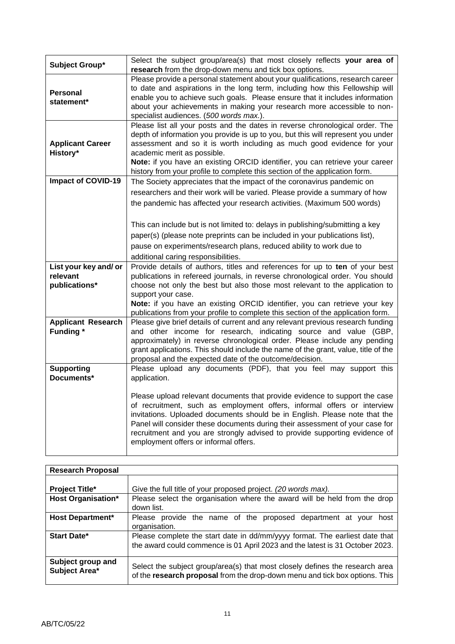|                                        | Select the subject group/area(s) that most closely reflects your area of                                                                                                                                                                                                                                                                                                                                                                   |
|----------------------------------------|--------------------------------------------------------------------------------------------------------------------------------------------------------------------------------------------------------------------------------------------------------------------------------------------------------------------------------------------------------------------------------------------------------------------------------------------|
| Subject Group*                         | research from the drop-down menu and tick box options.                                                                                                                                                                                                                                                                                                                                                                                     |
| <b>Personal</b><br>statement*          | Please provide a personal statement about your qualifications, research career<br>to date and aspirations in the long term, including how this Fellowship will<br>enable you to achieve such goals. Please ensure that it includes information<br>about your achievements in making your research more accessible to non-<br>specialist audiences. (500 words max.).                                                                       |
| <b>Applicant Career</b><br>History*    | Please list all your posts and the dates in reverse chronological order. The<br>depth of information you provide is up to you, but this will represent you under<br>assessment and so it is worth including as much good evidence for your<br>academic merit as possible.<br>Note: if you have an existing ORCID identifier, you can retrieve your career<br>history from your profile to complete this section of the application form.   |
| <b>Impact of COVID-19</b>              | The Society appreciates that the impact of the coronavirus pandemic on                                                                                                                                                                                                                                                                                                                                                                     |
|                                        | researchers and their work will be varied. Please provide a summary of how                                                                                                                                                                                                                                                                                                                                                                 |
|                                        | the pandemic has affected your research activities. (Maximum 500 words)                                                                                                                                                                                                                                                                                                                                                                    |
|                                        |                                                                                                                                                                                                                                                                                                                                                                                                                                            |
|                                        | This can include but is not limited to: delays in publishing/submitting a key                                                                                                                                                                                                                                                                                                                                                              |
|                                        | paper(s) (please note preprints can be included in your publications list),                                                                                                                                                                                                                                                                                                                                                                |
|                                        |                                                                                                                                                                                                                                                                                                                                                                                                                                            |
|                                        | pause on experiments/research plans, reduced ability to work due to                                                                                                                                                                                                                                                                                                                                                                        |
| List your key and/ or                  | additional caring responsibilities.<br>Provide details of authors, titles and references for up to ten of your best                                                                                                                                                                                                                                                                                                                        |
| relevant                               | publications in refereed journals, in reverse chronological order. You should                                                                                                                                                                                                                                                                                                                                                              |
| publications*                          | choose not only the best but also those most relevant to the application to                                                                                                                                                                                                                                                                                                                                                                |
|                                        | support your case.                                                                                                                                                                                                                                                                                                                                                                                                                         |
|                                        | Note: if you have an existing ORCID identifier, you can retrieve your key                                                                                                                                                                                                                                                                                                                                                                  |
|                                        | publications from your profile to complete this section of the application form.                                                                                                                                                                                                                                                                                                                                                           |
| <b>Applicant Research</b><br>Funding * | Please give brief details of current and any relevant previous research funding<br>and other income for research, indicating source and value (GBP,<br>approximately) in reverse chronological order. Please include any pending<br>grant applications. This should include the name of the grant, value, title of the<br>proposal and the expected date of the outcome/decision.                                                          |
| <b>Supporting</b>                      | Please upload any documents (PDF), that you feel may support this                                                                                                                                                                                                                                                                                                                                                                          |
| Documents*                             | application.                                                                                                                                                                                                                                                                                                                                                                                                                               |
|                                        | Please upload relevant documents that provide evidence to support the case<br>of recruitment, such as employment offers, informal offers or interview<br>invitations. Uploaded documents should be in English. Please note that the<br>Panel will consider these documents during their assessment of your case for<br>recruitment and you are strongly advised to provide supporting evidence of<br>employment offers or informal offers. |

| <b>Research Proposal</b>           |                                                                                                                                                             |
|------------------------------------|-------------------------------------------------------------------------------------------------------------------------------------------------------------|
|                                    |                                                                                                                                                             |
| <b>Project Title*</b>              | Give the full title of your proposed project. (20 words max).                                                                                               |
| <b>Host Organisation*</b>          | Please select the organisation where the award will be held from the drop<br>down list.                                                                     |
| <b>Host Department*</b>            | Please provide the name of the proposed department at your<br>host<br>organisation.                                                                         |
| Start Date*                        | Please complete the start date in dd/mm/yyyy format. The earliest date that<br>the award could commence is 01 April 2023 and the latest is 31 October 2023. |
| Subject group and<br>Subject Area* | Select the subject group/area(s) that most closely defines the research area<br>of the research proposal from the drop-down menu and tick box options. This |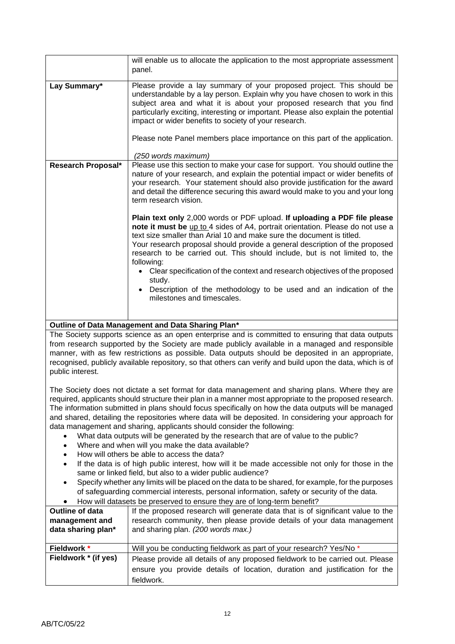|                                                                                                                                                                                                                                                                                                                                                                                                                                                                                                                                                                                                                                                                                                                    | will enable us to allocate the application to the most appropriate assessment<br>panel.                                                                                                                                                                                                                                                                                                                                                                                                                  |  |
|--------------------------------------------------------------------------------------------------------------------------------------------------------------------------------------------------------------------------------------------------------------------------------------------------------------------------------------------------------------------------------------------------------------------------------------------------------------------------------------------------------------------------------------------------------------------------------------------------------------------------------------------------------------------------------------------------------------------|----------------------------------------------------------------------------------------------------------------------------------------------------------------------------------------------------------------------------------------------------------------------------------------------------------------------------------------------------------------------------------------------------------------------------------------------------------------------------------------------------------|--|
| Lay Summary*                                                                                                                                                                                                                                                                                                                                                                                                                                                                                                                                                                                                                                                                                                       | Please provide a lay summary of your proposed project. This should be<br>understandable by a lay person. Explain why you have chosen to work in this<br>subject area and what it is about your proposed research that you find<br>particularly exciting, interesting or important. Please also explain the potential<br>impact or wider benefits to society of your research.                                                                                                                            |  |
|                                                                                                                                                                                                                                                                                                                                                                                                                                                                                                                                                                                                                                                                                                                    | Please note Panel members place importance on this part of the application.                                                                                                                                                                                                                                                                                                                                                                                                                              |  |
|                                                                                                                                                                                                                                                                                                                                                                                                                                                                                                                                                                                                                                                                                                                    | (250 words maximum)                                                                                                                                                                                                                                                                                                                                                                                                                                                                                      |  |
| Research Proposal*                                                                                                                                                                                                                                                                                                                                                                                                                                                                                                                                                                                                                                                                                                 | Please use this section to make your case for support. You should outline the<br>nature of your research, and explain the potential impact or wider benefits of<br>your research. Your statement should also provide justification for the award<br>and detail the difference securing this award would make to you and your long<br>term research vision.                                                                                                                                               |  |
|                                                                                                                                                                                                                                                                                                                                                                                                                                                                                                                                                                                                                                                                                                                    | Plain text only 2,000 words or PDF upload. If uploading a PDF file please<br>note it must be up to 4 sides of A4, portrait orientation. Please do not use a<br>text size smaller than Arial 10 and make sure the document is titled.<br>Your research proposal should provide a general description of the proposed<br>research to be carried out. This should include, but is not limited to, the<br>following:<br>Clear specification of the context and research objectives of the proposed<br>study. |  |
|                                                                                                                                                                                                                                                                                                                                                                                                                                                                                                                                                                                                                                                                                                                    | Description of the methodology to be used and an indication of the<br>milestones and timescales.                                                                                                                                                                                                                                                                                                                                                                                                         |  |
|                                                                                                                                                                                                                                                                                                                                                                                                                                                                                                                                                                                                                                                                                                                    | Outline of Data Management and Data Sharing Plan*                                                                                                                                                                                                                                                                                                                                                                                                                                                        |  |
| The Society supports science as an open enterprise and is committed to ensuring that data outputs<br>from research supported by the Society are made publicly available in a managed and responsible<br>manner, with as few restrictions as possible. Data outputs should be deposited in an appropriate,<br>recognised, publicly available repository, so that others can verify and build upon the data, which is of<br>public interest.                                                                                                                                                                                                                                                                         |                                                                                                                                                                                                                                                                                                                                                                                                                                                                                                          |  |
| The Society does not dictate a set format for data management and sharing plans. Where they are<br>required, applicants should structure their plan in a manner most appropriate to the proposed research.<br>The information submitted in plans should focus specifically on how the data outputs will be managed<br>and shared, detailing the repositories where data will be deposited. In considering your approach for<br>data management and sharing, applicants should consider the following:<br>What data outputs will be generated by the research that are of value to the public?<br>٠<br>Where and when will you make the data available?<br>$\bullet$<br>How will others be able to access the data? |                                                                                                                                                                                                                                                                                                                                                                                                                                                                                                          |  |
| $\bullet$<br>$\bullet$                                                                                                                                                                                                                                                                                                                                                                                                                                                                                                                                                                                                                                                                                             | If the data is of high public interest, how will it be made accessible not only for those in the                                                                                                                                                                                                                                                                                                                                                                                                         |  |
| same or linked field, but also to a wider public audience?<br>Specify whether any limits will be placed on the data to be shared, for example, for the purposes<br>$\bullet$<br>of safeguarding commercial interests, personal information, safety or security of the data.<br>How will datasets be preserved to ensure they are of long-term benefit?                                                                                                                                                                                                                                                                                                                                                             |                                                                                                                                                                                                                                                                                                                                                                                                                                                                                                          |  |
| <b>Outline of data</b>                                                                                                                                                                                                                                                                                                                                                                                                                                                                                                                                                                                                                                                                                             | If the proposed research will generate data that is of significant value to the                                                                                                                                                                                                                                                                                                                                                                                                                          |  |
| management and<br>data sharing plan*                                                                                                                                                                                                                                                                                                                                                                                                                                                                                                                                                                                                                                                                               | research community, then please provide details of your data management<br>and sharing plan. (200 words max.)                                                                                                                                                                                                                                                                                                                                                                                            |  |
| Fieldwork *                                                                                                                                                                                                                                                                                                                                                                                                                                                                                                                                                                                                                                                                                                        | Will you be conducting fieldwork as part of your research? Yes/No *                                                                                                                                                                                                                                                                                                                                                                                                                                      |  |
| Fieldwork * (if yes)                                                                                                                                                                                                                                                                                                                                                                                                                                                                                                                                                                                                                                                                                               | Please provide all details of any proposed fieldwork to be carried out. Please<br>ensure you provide details of location, duration and justification for the<br>fieldwork.                                                                                                                                                                                                                                                                                                                               |  |
|                                                                                                                                                                                                                                                                                                                                                                                                                                                                                                                                                                                                                                                                                                                    |                                                                                                                                                                                                                                                                                                                                                                                                                                                                                                          |  |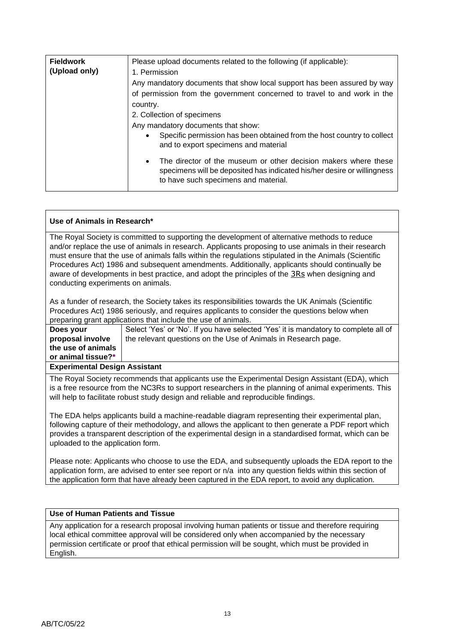| Please upload documents related to the following (if applicable):                                                                                                                               |
|-------------------------------------------------------------------------------------------------------------------------------------------------------------------------------------------------|
| 1. Permission                                                                                                                                                                                   |
| Any mandatory documents that show local support has been assured by way                                                                                                                         |
| of permission from the government concerned to travel to and work in the                                                                                                                        |
| country.                                                                                                                                                                                        |
| 2. Collection of specimens                                                                                                                                                                      |
| Any mandatory documents that show:                                                                                                                                                              |
| Specific permission has been obtained from the host country to collect<br>$\bullet$<br>and to export specimens and material                                                                     |
| The director of the museum or other decision makers where these<br>$\bullet$<br>specimens will be deposited has indicated his/her desire or willingness<br>to have such specimens and material. |
|                                                                                                                                                                                                 |

### **Use of Animals in Research\***

The Royal Society is committed to supporting the development of alternative methods to reduce and/or replace the use of animals in research. Applicants proposing to use animals in their research must ensure that the use of animals falls within the regulations stipulated in the Animals (Scientific Procedures Act) 1986 and subsequent amendments. Additionally, applicants should continually be aware of developments in best practice, and adopt the principles of the [3Rs](https://www.nc3rs.org.uk/the-3rs) when designing and conducting experiments on animals.

As a funder of research, the Society takes its responsibilities towards the UK Animals (Scientific Procedures Act) 1986 seriously, and requires applicants to consider the questions below when preparing grant applications that include the use of animals.

**Does your proposal involve the use of animals or animal tissue?\*** Select 'Yes' or 'No'. If you have selected 'Yes' it is mandatory to complete all of the relevant questions on the Use of Animals in Research page.

### **Experimental Design Assistant**

The Royal Society recommends that applicants use the Experimental Design Assistant (EDA), which is a free resource from the NC3Rs to support researchers in the planning of animal experiments. This will help to facilitate robust study design and reliable and reproducible findings.

The EDA helps applicants build a machine-readable diagram representing their experimental plan, following capture of their methodology, and allows the applicant to then generate a PDF report which provides a transparent description of the experimental design in a standardised format, which can be uploaded to the application form.

Please note: Applicants who choose to use the EDA, and subsequently uploads the EDA report to the application form, are advised to enter see report or n/a into any question fields within this section of the application form that have already been captured in the EDA report, to avoid any duplication.

#### **Use of Human Patients and Tissue**

Any application for a research proposal involving human patients or tissue and therefore requiring local ethical committee approval will be considered only when accompanied by the necessary permission certificate or proof that ethical permission will be sought, which must be provided in English.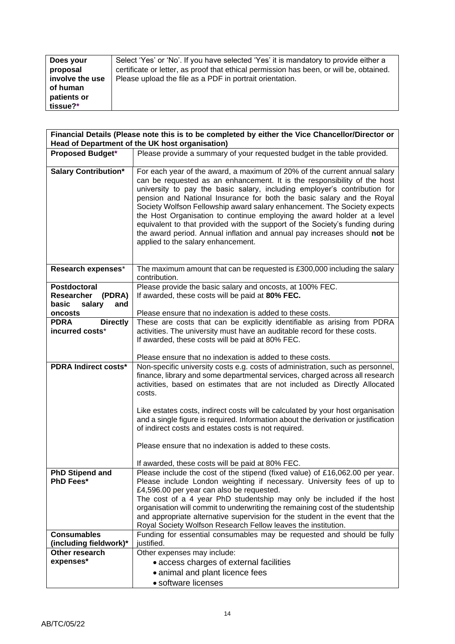| Does your       | Select 'Yes' or 'No'. If you have selected 'Yes' it is mandatory to provide either a    |
|-----------------|-----------------------------------------------------------------------------------------|
| proposal        | certificate or letter, as proof that ethical permission has been, or will be, obtained. |
| involve the use | Please upload the file as a PDF in portrait orientation.                                |
| of human        |                                                                                         |
| patients or     |                                                                                         |
| tissue?*        |                                                                                         |

| Financial Details (Please note this is to be completed by either the Vice Chancellor/Director or<br>Head of Department of the UK host organisation) |                                                                                                                                                                                                                                                                                                                                                                                                                                                                                                                                                                                                                                                                        |  |
|-----------------------------------------------------------------------------------------------------------------------------------------------------|------------------------------------------------------------------------------------------------------------------------------------------------------------------------------------------------------------------------------------------------------------------------------------------------------------------------------------------------------------------------------------------------------------------------------------------------------------------------------------------------------------------------------------------------------------------------------------------------------------------------------------------------------------------------|--|
| <b>Proposed Budget*</b>                                                                                                                             | Please provide a summary of your requested budget in the table provided.                                                                                                                                                                                                                                                                                                                                                                                                                                                                                                                                                                                               |  |
| <b>Salary Contribution*</b>                                                                                                                         | For each year of the award, a maximum of 20% of the current annual salary<br>can be requested as an enhancement. It is the responsibility of the host<br>university to pay the basic salary, including employer's contribution for<br>pension and National Insurance for both the basic salary and the Royal<br>Society Wolfson Fellowship award salary enhancement. The Society expects<br>the Host Organisation to continue employing the award holder at a level<br>equivalent to that provided with the support of the Society's funding during<br>the award period. Annual inflation and annual pay increases should not be<br>applied to the salary enhancement. |  |
| Research expenses*                                                                                                                                  | The maximum amount that can be requested is £300,000 including the salary<br>contribution.                                                                                                                                                                                                                                                                                                                                                                                                                                                                                                                                                                             |  |
| Postdoctoral<br><b>Researcher</b><br>(PDRA)<br>basic<br>salary<br>and                                                                               | Please provide the basic salary and oncosts, at 100% FEC.<br>If awarded, these costs will be paid at 80% FEC.                                                                                                                                                                                                                                                                                                                                                                                                                                                                                                                                                          |  |
| oncosts                                                                                                                                             | Please ensure that no indexation is added to these costs.                                                                                                                                                                                                                                                                                                                                                                                                                                                                                                                                                                                                              |  |
| <b>PDRA</b><br><b>Directly</b>                                                                                                                      | These are costs that can be explicitly identifiable as arising from PDRA                                                                                                                                                                                                                                                                                                                                                                                                                                                                                                                                                                                               |  |
| incurred costs*                                                                                                                                     | activities. The university must have an auditable record for these costs.<br>If awarded, these costs will be paid at 80% FEC.                                                                                                                                                                                                                                                                                                                                                                                                                                                                                                                                          |  |
|                                                                                                                                                     | Please ensure that no indexation is added to these costs.                                                                                                                                                                                                                                                                                                                                                                                                                                                                                                                                                                                                              |  |
| <b>PDRA Indirect costs*</b>                                                                                                                         | Non-specific university costs e.g. costs of administration, such as personnel,<br>finance, library and some departmental services, charged across all research<br>activities, based on estimates that are not included as Directly Allocated<br>costs.                                                                                                                                                                                                                                                                                                                                                                                                                 |  |
|                                                                                                                                                     | Like estates costs, indirect costs will be calculated by your host organisation<br>and a single figure is required. Information about the derivation or justification<br>of indirect costs and estates costs is not required.                                                                                                                                                                                                                                                                                                                                                                                                                                          |  |
|                                                                                                                                                     | Please ensure that no indexation is added to these costs.                                                                                                                                                                                                                                                                                                                                                                                                                                                                                                                                                                                                              |  |
|                                                                                                                                                     | If awarded, these costs will be paid at 80% FEC.                                                                                                                                                                                                                                                                                                                                                                                                                                                                                                                                                                                                                       |  |
| <b>PhD Stipend and</b>                                                                                                                              | Please include the cost of the stipend (fixed value) of £16,062.00 per year.                                                                                                                                                                                                                                                                                                                                                                                                                                                                                                                                                                                           |  |
| <b>PhD Fees*</b>                                                                                                                                    | Please include London weighting if necessary. University fees of up to                                                                                                                                                                                                                                                                                                                                                                                                                                                                                                                                                                                                 |  |
|                                                                                                                                                     | £4,596.00 per year can also be requested.                                                                                                                                                                                                                                                                                                                                                                                                                                                                                                                                                                                                                              |  |
|                                                                                                                                                     | The cost of a 4 year PhD studentship may only be included if the host<br>organisation will commit to underwriting the remaining cost of the studentship                                                                                                                                                                                                                                                                                                                                                                                                                                                                                                                |  |
|                                                                                                                                                     | and appropriate alternative supervision for the student in the event that the                                                                                                                                                                                                                                                                                                                                                                                                                                                                                                                                                                                          |  |
|                                                                                                                                                     | Royal Society Wolfson Research Fellow leaves the institution.                                                                                                                                                                                                                                                                                                                                                                                                                                                                                                                                                                                                          |  |
| <b>Consumables</b>                                                                                                                                  | Funding for essential consumables may be requested and should be fully                                                                                                                                                                                                                                                                                                                                                                                                                                                                                                                                                                                                 |  |
| (including fieldwork)*                                                                                                                              | justified.                                                                                                                                                                                                                                                                                                                                                                                                                                                                                                                                                                                                                                                             |  |
| Other research                                                                                                                                      | Other expenses may include:                                                                                                                                                                                                                                                                                                                                                                                                                                                                                                                                                                                                                                            |  |
| expenses*                                                                                                                                           | • access charges of external facilities                                                                                                                                                                                                                                                                                                                                                                                                                                                                                                                                                                                                                                |  |
|                                                                                                                                                     | • animal and plant licence fees                                                                                                                                                                                                                                                                                                                                                                                                                                                                                                                                                                                                                                        |  |
|                                                                                                                                                     | • software licenses                                                                                                                                                                                                                                                                                                                                                                                                                                                                                                                                                                                                                                                    |  |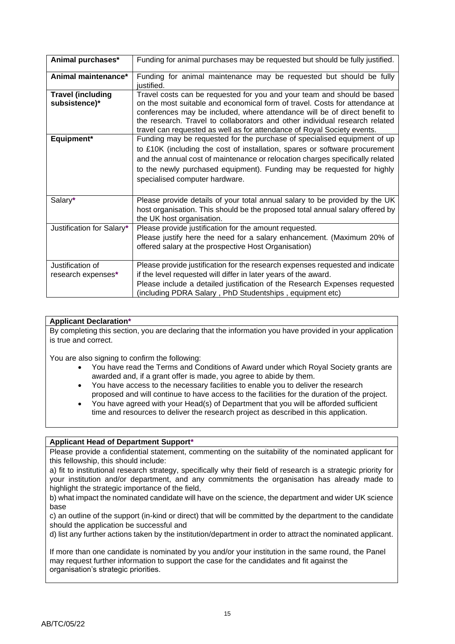| Animal purchases*                         | Funding for animal purchases may be requested but should be fully justified.                                                                                                                                                                                                                                                                                                                   |
|-------------------------------------------|------------------------------------------------------------------------------------------------------------------------------------------------------------------------------------------------------------------------------------------------------------------------------------------------------------------------------------------------------------------------------------------------|
| Animal maintenance*                       | Funding for animal maintenance may be requested but should be fully<br>justified.                                                                                                                                                                                                                                                                                                              |
| <b>Travel (including</b><br>subsistence)* | Travel costs can be requested for you and your team and should be based<br>on the most suitable and economical form of travel. Costs for attendance at<br>conferences may be included, where attendance will be of direct benefit to<br>the research. Travel to collaborators and other individual research related<br>travel can requested as well as for attendance of Royal Society events. |
| Equipment*                                | Funding may be requested for the purchase of specialised equipment of up<br>to £10K (including the cost of installation, spares or software procurement<br>and the annual cost of maintenance or relocation charges specifically related<br>to the newly purchased equipment). Funding may be requested for highly<br>specialised computer hardware.                                           |
| Salary*                                   | Please provide details of your total annual salary to be provided by the UK<br>host organisation. This should be the proposed total annual salary offered by<br>the UK host organisation.                                                                                                                                                                                                      |
| Justification for Salary*                 | Please provide justification for the amount requested.<br>Please justify here the need for a salary enhancement. (Maximum 20% of<br>offered salary at the prospective Host Organisation)                                                                                                                                                                                                       |
| Justification of<br>research expenses*    | Please provide justification for the research expenses requested and indicate<br>if the level requested will differ in later years of the award.<br>Please include a detailed justification of the Research Expenses requested<br>(including PDRA Salary, PhD Studentships, equipment etc)                                                                                                     |

### **Applicant Declaration\***

By completing this section, you are declaring that the information you have provided in your application is true and correct.

You are also signing to confirm the following:

- You have read the Terms and Conditions of Award under which Royal Society grants are awarded and, if a grant offer is made, you agree to abide by them.
- You have access to the necessary facilities to enable you to deliver the research proposed and will continue to have access to the facilities for the duration of the project.
- You have agreed with your Head(s) of Department that you will be afforded sufficient time and resources to deliver the research project as described in this application.

### **Applicant Head of Department Support\***

Please provide a confidential statement, commenting on the suitability of the nominated applicant for this fellowship, this should include:

a) fit to institutional research strategy, specifically why their field of research is a strategic priority for your institution and/or department, and any commitments the organisation has already made to highlight the strategic importance of the field,

b) what impact the nominated candidate will have on the science, the department and wider UK science base

c) an outline of the support (in-kind or direct) that will be committed by the department to the candidate should the application be successful and

d) list any further actions taken by the institution/department in order to attract the nominated applicant.

If more than one candidate is nominated by you and/or your institution in the same round, the Panel may request further information to support the case for the candidates and fit against the organisation's strategic priorities.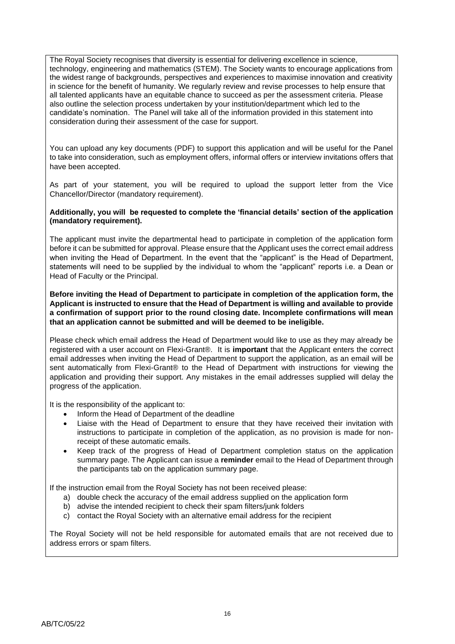The Royal Society recognises that diversity is essential for delivering excellence in science, technology, engineering and mathematics (STEM). The Society wants to encourage applications from the widest range of backgrounds, perspectives and experiences to maximise innovation and creativity in science for the benefit of humanity. We regularly review and revise processes to help ensure that all talented applicants have an equitable chance to succeed as per the assessment criteria. Please also outline the selection process undertaken by your institution/department which led to the candidate's nomination. The Panel will take all of the information provided in this statement into consideration during their assessment of the case for support.

You can upload any key documents (PDF) to support this application and will be useful for the Panel to take into consideration, such as employment offers, informal offers or interview invitations offers that have been accepted.

As part of your statement, you will be required to upload the support letter from the Vice Chancellor/Director (mandatory requirement).

#### **Additionally, you will be requested to complete the 'financial details' section of the application (mandatory requirement).**

The applicant must invite the departmental head to participate in completion of the application form before it can be submitted for approval. Please ensure that the Applicant uses the correct email address when inviting the Head of Department. In the event that the "applicant" is the Head of Department, statements will need to be supplied by the individual to whom the "applicant" reports i.e. a Dean or Head of Faculty or the Principal.

**Before inviting the Head of Department to participate in completion of the application form, the Applicant is instructed to ensure that the Head of Department is willing and available to provide a confirmation of support prior to the round closing date. Incomplete confirmations will mean that an application cannot be submitted and will be deemed to be ineligible.**

Please check which email address the Head of Department would like to use as they may already be registered with a user account on Flexi-Grant®. It is **important** that the Applicant enters the correct email addresses when inviting the Head of Department to support the application, as an email will be sent automatically from Flexi-Grant® to the Head of Department with instructions for viewing the application and providing their support. Any mistakes in the email addresses supplied will delay the progress of the application.

It is the responsibility of the applicant to:

- Inform the Head of Department of the deadline
- Liaise with the Head of Department to ensure that they have received their invitation with instructions to participate in completion of the application, as no provision is made for nonreceipt of these automatic emails.
- Keep track of the progress of Head of Department completion status on the application summary page. The Applicant can issue a **reminder** email to the Head of Department through the participants tab on the application summary page.

If the instruction email from the Royal Society has not been received please:

- a) double check the accuracy of the email address supplied on the application form
- b) advise the intended recipient to check their spam filters/junk folders
- c) contact the Royal Society with an alternative email address for the recipient

The Royal Society will not be held responsible for automated emails that are not received due to address errors or spam filters.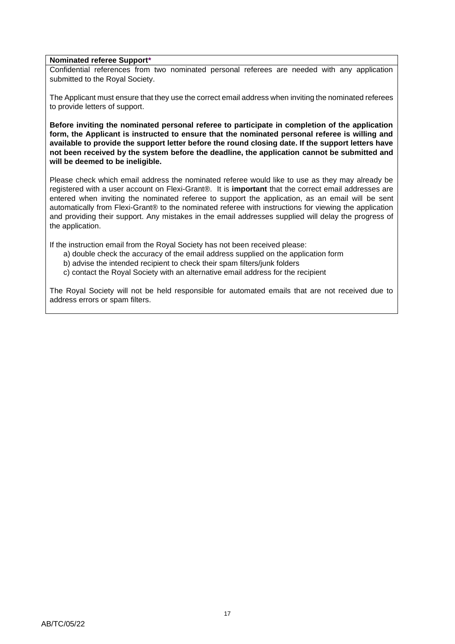#### **Nominated referee Support\***

Confidential references from two nominated personal referees are needed with any application submitted to the Royal Society.

The Applicant must ensure that they use the correct email address when inviting the nominated referees to provide letters of support.

**Before inviting the nominated personal referee to participate in completion of the application form, the Applicant is instructed to ensure that the nominated personal referee is willing and available to provide the support letter before the round closing date. If the support letters have not been received by the system before the deadline, the application cannot be submitted and will be deemed to be ineligible.**

Please check which email address the nominated referee would like to use as they may already be registered with a user account on Flexi-Grant®. It is **important** that the correct email addresses are entered when inviting the nominated referee to support the application, as an email will be sent automatically from Flexi-Grant® to the nominated referee with instructions for viewing the application and providing their support. Any mistakes in the email addresses supplied will delay the progress of the application.

If the instruction email from the Royal Society has not been received please:

- a) double check the accuracy of the email address supplied on the application form
- b) advise the intended recipient to check their spam filters/junk folders
- c) contact the Royal Society with an alternative email address for the recipient

The Royal Society will not be held responsible for automated emails that are not received due to address errors or spam filters.